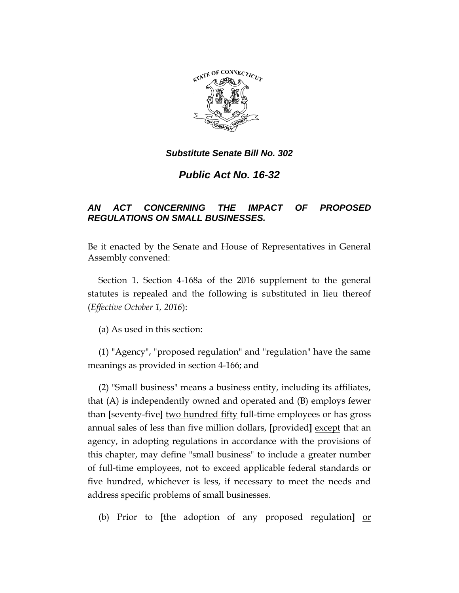

*Public Act No. 16-32*

# *AN ACT CONCERNING THE IMPACT OF PROPOSED REGULATIONS ON SMALL BUSINESSES.*

Be it enacted by the Senate and House of Representatives in General Assembly convened:

Section 1. Section 4-168a of the 2016 supplement to the general statutes is repealed and the following is substituted in lieu thereof (*Effective October 1, 2016*):

(a) As used in this section:

(1) "Agency", "proposed regulation" and "regulation" have the same meanings as provided in section 4-166; and

(2) "Small business" means a business entity, including its affiliates, that (A) is independently owned and operated and (B) employs fewer than **[**seventy-five**]** two hundred fifty full-time employees or has gross annual sales of less than five million dollars, **[**provided**]** except that an agency, in adopting regulations in accordance with the provisions of this chapter, may define "small business" to include a greater number of full-time employees, not to exceed applicable federal standards or five hundred, whichever is less, if necessary to meet the needs and address specific problems of small businesses.

(b) Prior to **[**the adoption of any proposed regulation**]** or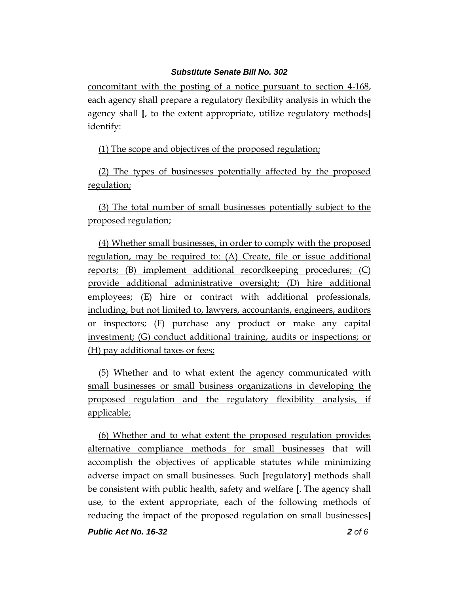concomitant with the posting of a notice pursuant to section 4-168, each agency shall prepare a regulatory flexibility analysis in which the agency shall **[**, to the extent appropriate, utilize regulatory methods**]** identify:

(1) The scope and objectives of the proposed regulation;

(2) The types of businesses potentially affected by the proposed regulation;

(3) The total number of small businesses potentially subject to the proposed regulation;

(4) Whether small businesses, in order to comply with the proposed regulation, may be required to: (A) Create, file or issue additional reports; (B) implement additional recordkeeping procedures; (C) provide additional administrative oversight; (D) hire additional employees; (E) hire or contract with additional professionals, including, but not limited to, lawyers, accountants, engineers, auditors or inspectors; (F) purchase any product or make any capital investment; (G) conduct additional training, audits or inspections; or (H) pay additional taxes or fees;

(5) Whether and to what extent the agency communicated with small businesses or small business organizations in developing the proposed regulation and the regulatory flexibility analysis, if applicable;

(6) Whether and to what extent the proposed regulation provides alternative compliance methods for small businesses that will accomplish the objectives of applicable statutes while minimizing adverse impact on small businesses. Such **[**regulatory**]** methods shall be consistent with public health, safety and welfare **[**. The agency shall use, to the extent appropriate, each of the following methods of reducing the impact of the proposed regulation on small businesses**]**

*Public Act No. 16-32 2 of 6*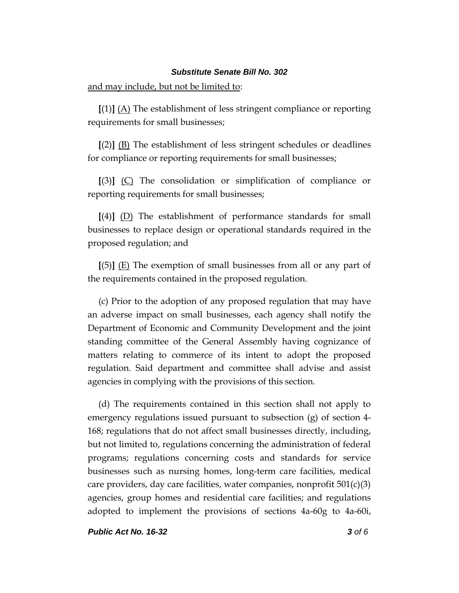and may include, but not be limited to:

**[**(1)**]** (A) The establishment of less stringent compliance or reporting requirements for small businesses;

**[**(2)**]** (B) The establishment of less stringent schedules or deadlines for compliance or reporting requirements for small businesses;

**[**(3)**]** (C) The consolidation or simplification of compliance or reporting requirements for small businesses;

**[**(4)**]** (D) The establishment of performance standards for small businesses to replace design or operational standards required in the proposed regulation; and

**[**(5)**]** (E) The exemption of small businesses from all or any part of the requirements contained in the proposed regulation.

(c) Prior to the adoption of any proposed regulation that may have an adverse impact on small businesses, each agency shall notify the Department of Economic and Community Development and the joint standing committee of the General Assembly having cognizance of matters relating to commerce of its intent to adopt the proposed regulation. Said department and committee shall advise and assist agencies in complying with the provisions of this section.

(d) The requirements contained in this section shall not apply to emergency regulations issued pursuant to subsection (g) of section 4- 168; regulations that do not affect small businesses directly, including, but not limited to, regulations concerning the administration of federal programs; regulations concerning costs and standards for service businesses such as nursing homes, long-term care facilities, medical care providers, day care facilities, water companies, nonprofit  $501(c)(3)$ agencies, group homes and residential care facilities; and regulations adopted to implement the provisions of sections 4a-60g to 4a-60i,

*Public Act No. 16-32 3 of 6*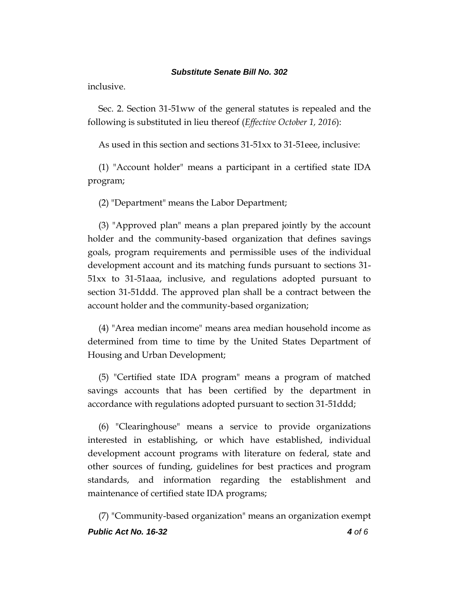inclusive.

Sec. 2. Section 31-51ww of the general statutes is repealed and the following is substituted in lieu thereof (*Effective October 1, 2016*):

As used in this section and sections 31-51xx to 31-51eee, inclusive:

(1) "Account holder" means a participant in a certified state IDA program;

(2) "Department" means the Labor Department;

(3) "Approved plan" means a plan prepared jointly by the account holder and the community-based organization that defines savings goals, program requirements and permissible uses of the individual development account and its matching funds pursuant to sections 31- 51xx to 31-51aaa, inclusive, and regulations adopted pursuant to section 31-51ddd. The approved plan shall be a contract between the account holder and the community-based organization;

(4) "Area median income" means area median household income as determined from time to time by the United States Department of Housing and Urban Development;

(5) "Certified state IDA program" means a program of matched savings accounts that has been certified by the department in accordance with regulations adopted pursuant to section 31-51ddd;

(6) "Clearinghouse" means a service to provide organizations interested in establishing, or which have established, individual development account programs with literature on federal, state and other sources of funding, guidelines for best practices and program standards, and information regarding the establishment and maintenance of certified state IDA programs;

*Public Act No. 16-32 4 of 6* (7) "Community-based organization" means an organization exempt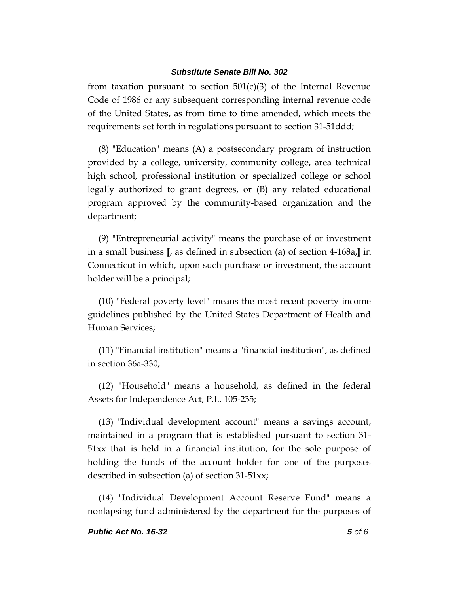from taxation pursuant to section  $501(c)(3)$  of the Internal Revenue Code of 1986 or any subsequent corresponding internal revenue code of the United States, as from time to time amended, which meets the requirements set forth in regulations pursuant to section 31-51ddd;

(8) "Education" means (A) a postsecondary program of instruction provided by a college, university, community college, area technical high school, professional institution or specialized college or school legally authorized to grant degrees, or (B) any related educational program approved by the community-based organization and the department;

(9) "Entrepreneurial activity" means the purchase of or investment in a small business **[**, as defined in subsection (a) of section 4-168a,**]** in Connecticut in which, upon such purchase or investment, the account holder will be a principal;

(10) "Federal poverty level" means the most recent poverty income guidelines published by the United States Department of Health and Human Services;

(11) "Financial institution" means a "financial institution", as defined in section 36a-330;

(12) "Household" means a household, as defined in the federal Assets for Independence Act, P.L. 105-235;

(13) "Individual development account" means a savings account, maintained in a program that is established pursuant to section 31- 51xx that is held in a financial institution, for the sole purpose of holding the funds of the account holder for one of the purposes described in subsection (a) of section 31-51xx;

(14) "Individual Development Account Reserve Fund" means a nonlapsing fund administered by the department for the purposes of